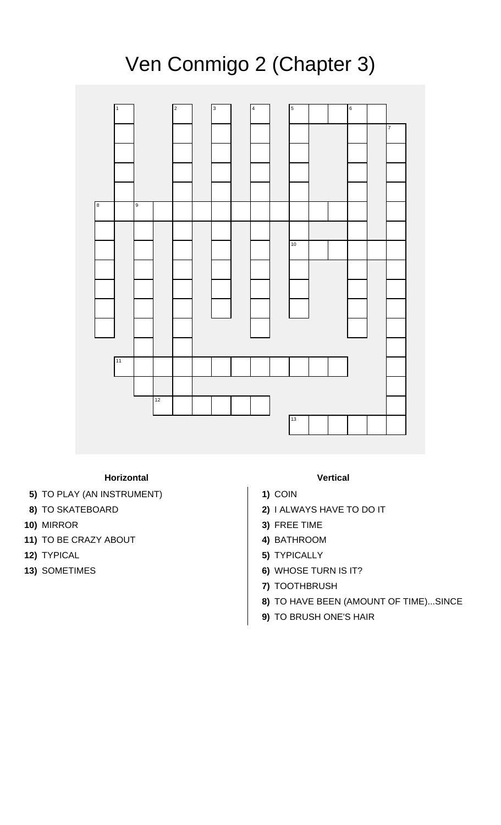## Ven Conmigo 2 (Chapter 3)



## **Horizontal Vertical**

- **5)** TO PLAY (AN INSTRUMENT) **1)** COIN
- 
- 
- **11)** TO BE CRAZY ABOUT **4)** BATHROOM
- 
- 

- 
- **8)** TO SKATEBOARD **2)** I ALWAYS HAVE TO DO IT
- **10)** MIRROR **3)** FREE TIME
	-
- **12)** TYPICAL **5)** TYPICALLY
- **13)** SOMETIMES **6)** WHOSE TURN IS IT?
	- **7)** TOOTHBRUSH
	- **8)** TO HAVE BEEN (AMOUNT OF TIME)...SINCE
	- **9)** TO BRUSH ONE'S HAIR